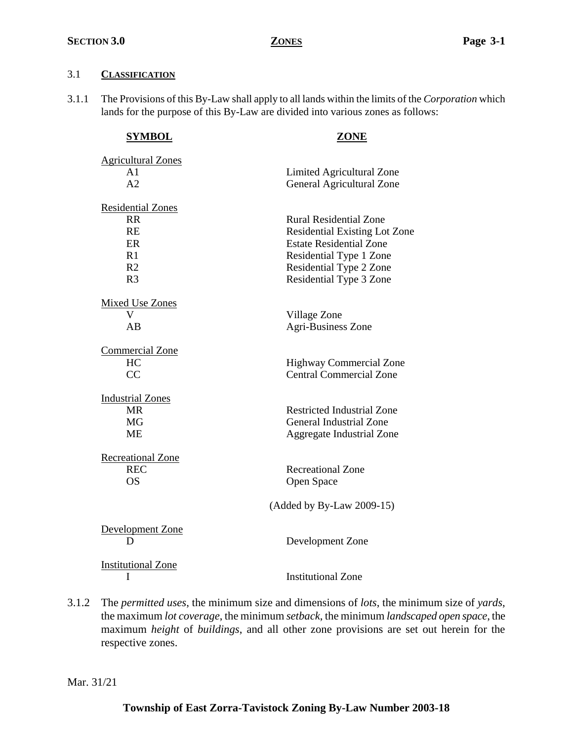## 3.1 **CLASSIFICATION**

3.1.1 The Provisions of this By-Law shall apply to all lands within the limits of the *Corporation* which lands for the purpose of this By-Law are divided into various zones as follows:

| <b>SYMBOL</b>             | ZONE                                 |
|---------------------------|--------------------------------------|
| <b>Agricultural Zones</b> |                                      |
| A1                        | Limited Agricultural Zone            |
| A <sub>2</sub>            | General Agricultural Zone            |
| <b>Residential Zones</b>  |                                      |
| <b>RR</b>                 | <b>Rural Residential Zone</b>        |
| <b>RE</b>                 | <b>Residential Existing Lot Zone</b> |
| ER                        | <b>Estate Residential Zone</b>       |
| R1                        | Residential Type 1 Zone              |
| R <sub>2</sub>            | Residential Type 2 Zone              |
| R <sub>3</sub>            | Residential Type 3 Zone              |
| <b>Mixed Use Zones</b>    |                                      |
| V                         | Village Zone                         |
| AB                        | <b>Agri-Business Zone</b>            |
| <b>Commercial Zone</b>    |                                      |
| HC                        | <b>Highway Commercial Zone</b>       |
| CC                        | <b>Central Commercial Zone</b>       |
| <b>Industrial Zones</b>   |                                      |
| <b>MR</b>                 | <b>Restricted Industrial Zone</b>    |
| <b>MG</b>                 | <b>General Industrial Zone</b>       |
| <b>ME</b>                 | <b>Aggregate Industrial Zone</b>     |
| Recreational Zone         |                                      |
| <b>REC</b>                | <b>Recreational Zone</b>             |
| <b>OS</b>                 | Open Space                           |
|                           | $(Added by By-Law 2009-15)$          |
| Development Zone          |                                      |
| D                         | Development Zone                     |
| <b>Institutional Zone</b> |                                      |
| I                         | <b>Institutional Zone</b>            |

3.1.2 The *permitted uses*, the minimum size and dimensions of *lots*, the minimum size of *yards*, the maximum *lot coverage*, the minimum *setback*, the minimum *landscaped open space*, the maximum *height* of *buildings*, and all other zone provisions are set out herein for the respective zones.

Mar. 31/21